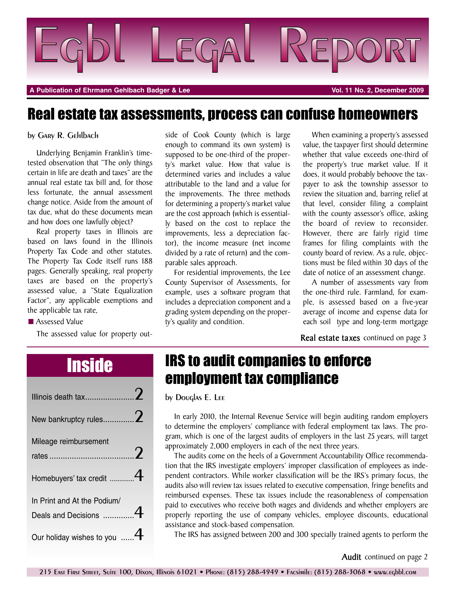

**A Publication of Ehrmann Gehlbach Badger & Lee Vol. 11 No. 2, December 2009**

### Real estate tax assessments, process can confuse homeowners

#### by Gary R. Gehlbach

Underlying Benjamin Franklin's timetested observation that "The only things certain in life are death and taxes" are the annual real estate tax bill and, for those less fortunate, the annual assessment change notice. Aside from the amount of tax due, what do these documents mean and how does one lawfully object?

Real property taxes in Illinois are based on laws found in the Illinois Property Tax Code and other statutes. The Property Tax Code itself runs 188 pages. Generally speaking, real property taxes are based on the property's assessed value, a "State Equalization Factor", any applicable exemptions and the applicable tax rate,

■ Assessed Value

The assessed value for property out-

side of Cook County (which is large enough to command its own system) is supposed to be one-third of the property's market value. How that value is determined varies and includes a value attributable to the land and a value for the improvements. The three methods for determining a property's market value are the cost approach (which is essentially based on the cost to replace the improvements, less a depreciation factor), the income measure (net income divided by a rate of return) and the comparable sales approach.

For residential improvements, the Lee County Supervisor of Assessments, for example, uses a software program that includes a depreciation component and a grading system depending on the property's quality and condition.

When examining a property's assessed value, the taxpayer first should determine whether that value exceeds one-third of the property's true market value. If it does, it would probably behoove the taxpayer to ask the township assessor to review the situation and, barring relief at that level, consider filing a complaint with the county assessor's office, asking the board of review to reconsider. However, there are fairly rigid time frames for filing complaints with the county board of review. As a rule, objections must be filed within 30 days of the date of notice of an assessment change.

A number of assessments vary from the one-third rule. Farmland, for example, is assessed based on a five-year average of income and expense data for each soil type and long-term mortgage

**Real estate taxes** continued on page 3

| New bankruptcy rules $2$                             |  |
|------------------------------------------------------|--|
| Mileage reimbursement                                |  |
| Homebuyers' tax credit 4                             |  |
| In Print and At the Podium/<br>Deals and Decisions 4 |  |
| Our holiday wishes to you                            |  |

## **Inside IRS to audit companies to enforce** employment tax compliance

by Douglas E. Lee

In early 2010, the Internal Revenue Service will begin auditing random employers to determine the employers' compliance with federal employment tax laws. The program, which is one of the largest audits of employers in the last 25 years, will target approximately 2,000 employers in each of the next three years.

The audits come on the heels of a Government Accountability Office recommendation that the IRS investigate employers' improper classification of employees as independent contractors. While worker classification will be the IRS's primary focus, the audits also will review tax issues related to executive compensation, fringe benefits and reimbursed expenses. These tax issues include the reasonableness of compensation paid to executives who receive both wages and dividends and whether employers are properly reporting the use of company vehicles, employee discounts, educational assistance and stock-based compensation.

The IRS has assigned between 200 and 300 specially trained agents to perform the

**Audit** continued on page 2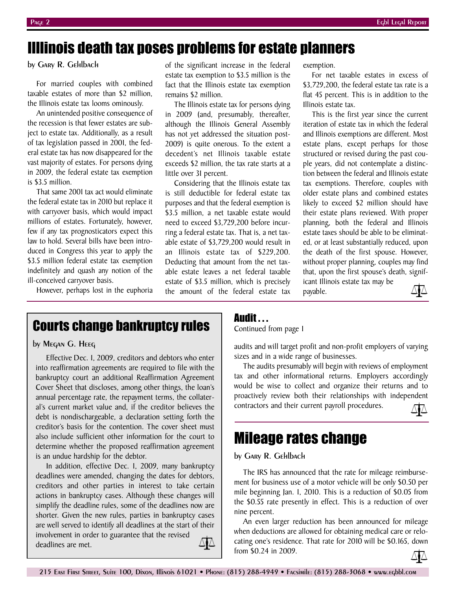### Illlinois death tax poses problems for estate planners

by Gary R. Gehlbach

For married couples with combined taxable estates of more than \$2 million, the Illinois estate tax looms ominously.

An unintended positive consequence of the recession is that fewer estates are subject to estate tax. Additionally, as a result of tax legislation passed in 2001, the federal estate tax has now disappeared for the vast majority of estates. For persons dying in 2009, the federal estate tax exemption is \$3.5 million.

That same 2001 tax act would eliminate the federal estate tax in 2010 but replace it with carryover basis, which would impact millions of estates. Fortunately, however, few if any tax prognosticators expect this law to hold. Several bills have been introduced in Congress this year to apply the \$3.5 million federal estate tax exemption indefinitely and quash any notion of the ill-conceived carryover basis.

However, perhaps lost in the euphoria

of the significant increase in the federal estate tax exemption to \$3.5 million is the fact that the Illinois estate tax exemption remains \$2 million.

The Illinois estate tax for persons dying in 2009 (and, presumably, thereafter, although the Illinois General Assembly has not yet addressed the situation post-2009) is quite onerous. To the extent a decedent's net Illinois taxable estate exceeds \$2 million, the tax rate starts at a little over 31 percent.

Considering that the Illinois estate tax is still deductible for federal estate tax purposes and that the federal exemption is \$3.5 million, a net taxable estate would need to exceed \$3,729,200 before incurring a federal estate tax. That is, a net taxable estate of \$3,729,200 would result in an Illinois estate tax of \$229,200. Deducting that amount from the net taxable estate leaves a net federal taxable estate of \$3.5 million, which is precisely the amount of the federal estate tax

exemption.

For net taxable estates in excess of \$3,729,200, the federal estate tax rate is a flat 45 percent. This is in addition to the Illinois estate tax.

This is the first year since the current iteration of estate tax in which the federal and Illinois exemptions are different. Most estate plans, except perhaps for those structured or revised during the past couple years, did not contemplate a distinction between the federal and Illinois estate tax exemptions. Therefore, couples with older estate plans and combined estates likely to exceed \$2 million should have their estate plans reviewed. With proper planning, both the federal and Illinois estate taxes should be able to be eliminated, or at least substantially reduced, upon the death of the first spouse. However, without proper planning, couples may find that, upon the first spouse's death, significant Illinois estate tax may be

payable.



### Courts change bankruptcy rules

### by Megan G. Heeg

Effective Dec. 1, 2009, creditors and debtors who enter into reaffirmation agreements are required to file with the bankruptcy court an additional Reaffirmation Agreement Cover Sheet that discloses, among other things, the loan's annual percentage rate, the repayment terms, the collateral's current market value and, if the creditor believes the debt is nondischargeable, a declaration setting forth the creditor's basis for the contention. The cover sheet must also include sufficient other information for the court to determine whether the proposed reaffirmation agreement is an undue hardship for the debtor.

In addition, effective Dec. 1, 2009, many bankruptcy deadlines were amended, changing the dates for debtors, creditors and other parties in interest to take certain actions in bankruptcy cases. Although these changes will simplify the deadline rules, some of the deadlines now are shorter. Given the new rules, parties in bankruptcy cases are well served to identify all deadlines at the start of their involvement in order to guarantee that the revised ∆≬∆ deadlines are met.

### Audit . . .

Continued from page 1

audits and will target profit and non-profit employers of varying sizes and in a wide range of businesses.

The audits presumably will begin with reviews of employment tax and other informational returns. Employers accordingly would be wise to collect and organize their returns and to proactively review both their relationships with independent contractors and their current payroll procedures.



### Mileage rates change

#### by Gary R. Gehlbach

The IRS has announced that the rate for mileage reimbursement for business use of a motor vehicle will be only \$0.50 per mile beginning Jan. 1, 2010. This is a reduction of \$0.05 from the \$0.55 rate presently in effect. This is a reduction of over nine percent.

An even larger reduction has been announced for mileage when deductions are allowed for obtaining medical care or relocating one's residence. That rate for 2010 will be \$0.165, down from \$0.24 in 2009.

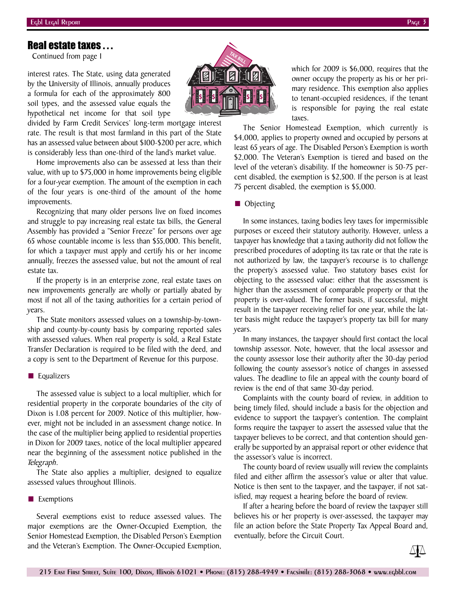### Real estate taxes . . .

Continued from page 1

interest rates. The State, using data generated by the University of Illinois, annually produces a formula for each of the approximately 800 soil types, and the assessed value equals the hypothetical net income for that soil type

divided by Farm Credit Services' long-term mortgage interest rate. The result is that most farmland in this part of the State has an assessed value between about \$100-\$200 per acre, which is considerably less than one-third of the land's market value.

Home improvements also can be assessed at less than their value, with up to \$75,000 in home improvements being eligible for a four-year exemption. The amount of the exemption in each of the four years is one-third of the amount of the home improvements.

Recognizing that many older persons live on fixed incomes and struggle to pay increasing real estate tax bills, the General Assembly has provided a "Senior Freeze" for persons over age 65 whose countable income is less than \$55,000. This benefit, for which a taxpayer must apply and certify his or her income annually, freezes the assessed value, but not the amount of real estate tax.

If the property is in an enterprise zone, real estate taxes on new improvements generally are wholly or partially abated by most if not all of the taxing authorities for a certain period of years.

The State monitors assessed values on a township-by-township and county-by-county basis by comparing reported sales with assessed values. When real property is sold, a Real Estate Transfer Declaration is required to be filed with the deed, and a copy is sent to the Department of Revenue for this purpose.

#### ■ Equalizers

The assessed value is subject to a local multiplier, which for residential property in the corporate boundaries of the city of Dixon is 1.08 percent for 2009. Notice of this multiplier, however, might not be included in an assessment change notice. In the case of the multiplier being applied to residential properties in Dixon for 2009 taxes, notice of the local multiplier appeared near the beginning of the assessment notice published in the *Telegraph*.

The State also applies a multiplier, designed to equalize assessed values throughout Illinois.

#### **■** Exemptions

Several exemptions exist to reduce assessed values. The major exemptions are the Owner-Occupied Exemption, the Senior Homestead Exemption, the Disabled Person's Exemption and the Veteran's Exemption. The Owner-Occupied Exemption,



which for 2009 is \$6,000, requires that the owner occupy the property as his or her primary residence. This exemption also applies to tenant-occupied residences, if the tenant is responsible for paying the real estate taxes.

The Senior Homestead Exemption, which currently is \$4,000, applies to property owned and occupied by persons at least 65 years of age. The Disabled Person's Exemption is worth \$2,000. The Veteran's Exemption is tiered and based on the level of the veteran's disability. If the homeowner is 50-75 percent disabled, the exemption is \$2,500. If the person is at least 75 percent disabled, the exemption is \$5,000.

#### ■ Objecting

In some instances, taxing bodies levy taxes for impermissible purposes or exceed their statutory authority. However, unless a taxpayer has knowledge that a taxing authority did not follow the prescribed procedures of adopting its tax rate or that the rate is not authorized by law, the taxpayer's recourse is to challenge the property's assessed value. Two statutory bases exist for objecting to the assessed value: either that the assessment is higher than the assessment of comparable property or that the property is over-valued. The former basis, if successful, might result in the taxpayer receiving relief for one year, while the latter basis might reduce the taxpayer's property tax bill for many years.

In many instances, the taxpayer should first contact the local township assessor. Note, however, that the local assessor and the county assessor lose their authority after the 30-day period following the county assessor's notice of changes in assessed values. The deadline to file an appeal with the county board of review is the end of that same 30-day period.

Complaints with the county board of review, in addition to being timely filed, should include a basis for the objection and evidence to support the taxpayer's contention. The complaint forms require the taxpayer to assert the assessed value that the taxpayer believes to be correct, and that contention should generally be supported by an appraisal report or other evidence that the assessor's value is incorrect.

The county board of review usually will review the complaints filed and either affirm the assessor's value or alter that value. Notice is then sent to the taxpayer, and the taxpayer, if not satisfied, may request a hearing before the board of review.

If after a hearing before the board of review the taxpayer still believes his or her property is over-assessed, the taxpayer may file an action before the State Property Tax Appeal Board and, eventually, before the Circuit Court.